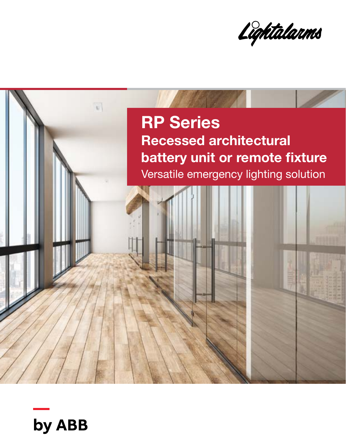Lightalarms



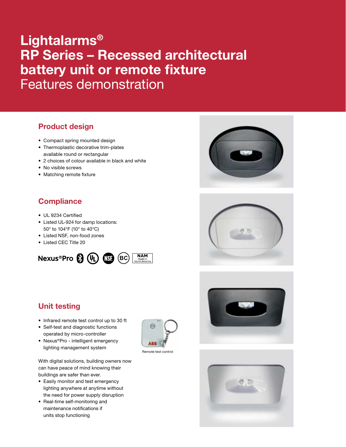# Lightalarms® RP Series – Recessed architectural battery unit or remote fixture Features demonstration

### Product design

- Compact spring mounted design
- Thermoplastic decorative trim-plates available round or rectangular
- 2 choices of colour available in black and white
- No visible screws
- Matching remote fixture

### **Compliance**

- UL 9234 Certified
- Listed UL-924 for damp locations: 50° to 104°F (10° to 40°C)
- Listed NSF, non-food zones
- Listed CEC Title 20



## Unit testing

- Infrared remote test control up to 30 ft
- Self-test and diagnostic functions operated by micro-controller
- Nexus®Pro intelligent emergency lighting management system

**ABB** 

Remote test contro









With digital solutions, building owners now can have peace of mind knowing their buildings are safer than ever.

- Easily monitor and test emergency lighting anywhere at anytime without the need for power supply disruption
- Real-time self-monitoring and maintenance notifications if units stop functioning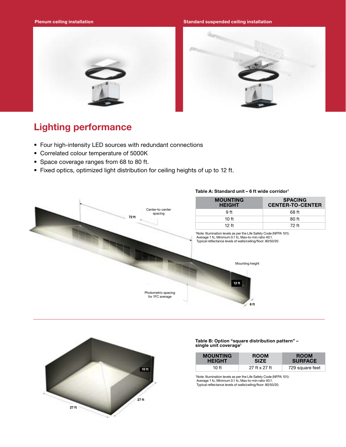Plenum ceiling installation Standard Standard suspended ceiling installation Standard suspended ceiling installation





## Lighting performance

- Four high-intensity LED sources with redundant connections
- Correlated colour temperature of 5000K
- Space coverage ranges from 68 to 80 ft.
- Fixed optics, optimized light distribution for ceiling heights of up to 12 ft.



### Table A: Standard unit - 6 ft wide corridor<sup>1</sup>



#### Table B: Option "square distribution pattern" – single unit coverage<sup>1</sup>

| <b>MOUNTING</b> | <b>ROOM</b>   | <b>ROOM</b>     |
|-----------------|---------------|-----------------|
| <b>HEIGHT</b>   | <b>SIZE</b>   | <b>SURFACE</b>  |
| 10 ft           | 27 ft x 27 ft | 729 square feet |

1 Note: Illumination levels as per the Life Safety Code (NFPA 101): Average 1 fc, Minimum 0.1 fc, Max-to-min ratio 40:1. Typical reflectance levels of walls/ceiling/floor: 80/50/20.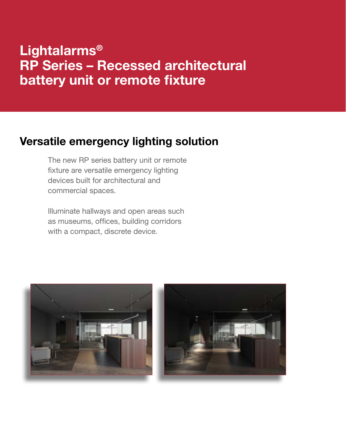# Lightalarms® RP Series – Recessed architectural battery unit or remote fixture

## Versatile emergency lighting solution

The new RP series battery unit or remote fixture are versatile emergency lighting devices built for architectural and commercial spaces.

Illuminate hallways and open areas such as museums, offices, building corridors with a compact, discrete device.

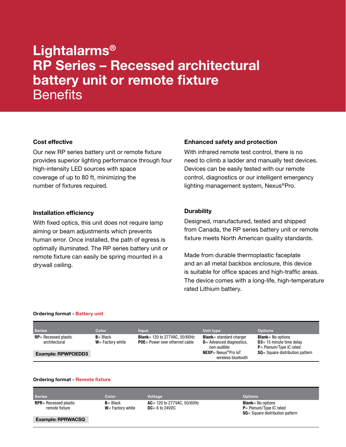# Lightalarms® RP Series – Recessed architectural battery unit or remote fixture **Benefits**

### Cost effective

Our new RP series battery unit or remote fixture provides superior lighting performance through four high-intensity LED sources with space coverage of up to 80 ft, minimizing the number of fixtures required.

### Installation efficiency

With fixed optics, this unit does not require lamp aiming or beam adjustments which prevents human error. Once installed, the path of egress is optimally illuminated. The RP series battery unit or remote fixture can easily be spring mounted in a drywall ceiling.

### Enhanced safety and protection

With infrared remote test control, there is no need to climb a ladder and manually test devices. Devices can be easily tested with our remote control, diagnostics or our intelligent emergency lighting management system, Nexus®Pro.

### **Durability**

Designed, manufactured, tested and shipped from Canada, the RP series battery unit or remote fixture meets North American quality standards.

Made from durable thermoplastic faceplate and an all metal backbox enclosure, this device is suitable for office spaces and high-traffic areas. The device comes with a long-life, high-temperature rated Lithium battery.

#### Ordering format - Battery unit

| <b>Series</b>                            | <b>Color</b>                       | <b>Input</b>                                                                    | Unit type                                                                     | <b>Options</b>                                                                         |
|------------------------------------------|------------------------------------|---------------------------------------------------------------------------------|-------------------------------------------------------------------------------|----------------------------------------------------------------------------------------|
| $RP =$ Recessed plastic<br>architectural | $B = Black$<br>$W = Factorv$ white | <b>Blank</b> = 120 to 277VAC, 50/60Hz<br><b>POE</b> = Power over ethernet cable | <b>Blank</b> = standard charger<br>$D =$ Advanced diagnostics,<br>non-audible | <b>Blank</b> = No options<br>$D3 = 15$ minute time delay<br>$P =$ Plenum/Type IC rated |
| <b>Example: RPWPOEDD3</b>                |                                    |                                                                                 | $NEXP =$ Nexus <sup>®</sup> Pro IoT<br>wireless bluetooth                     | <b>SQ</b> = Square distribution pattern                                                |

### Ordering format - Remote fixture

| <b>Series</b>                                   | Color                              | <b>Voltage</b>                                     | <b>Options</b>                                                                                     |
|-------------------------------------------------|------------------------------------|----------------------------------------------------|----------------------------------------------------------------------------------------------------|
| <b>RPR</b> = Recessed plastic<br>remote fixture | $B = Black$<br>$W = Factorv$ white | $AC = 120$ to 277VAC, 50/60Hz<br>$DC = 6$ to 24VDC | <b>Blank</b> = No options<br>$P =$ Plenum/Type IC rated<br><b>SQ</b> = Square distribution pattern |

Example: RPRWACSQ